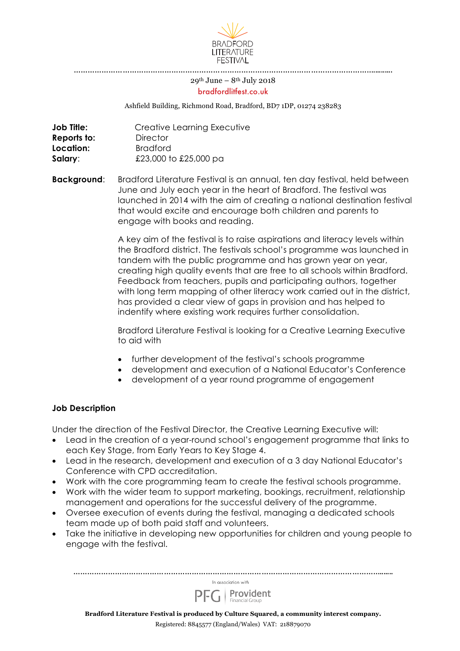

…………………………………………………………………………………………………………………..........

#### $29<sup>th</sup>$  June –  $8<sup>th</sup>$  July 2018 bradfordlitfest.co.uk

Ashfield Building, Richmond Road, Bradford, BD7 1DP, 01274 238283

| Job Title:  | Creative Learning Executive |
|-------------|-----------------------------|
| Reports to: | <b>Director</b>             |
| Location:   | <b>Bradford</b>             |
| Salary:     | £23,000 to £25,000 pa       |

**Background**: Bradford Literature Festival is an annual, ten day festival, held between June and July each year in the heart of Bradford. The festival was launched in 2014 with the aim of creating a national destination festival that would excite and encourage both children and parents to engage with books and reading.

> A key aim of the festival is to raise aspirations and literacy levels within the Bradford district. The festivals school's programme was launched in tandem with the public programme and has grown year on year, creating high quality events that are free to all schools within Bradford. Feedback from teachers, pupils and participating authors, together with long term mapping of other literacy work carried out in the district, has provided a clear view of gaps in provision and has helped to indentify where existing work requires further consolidation.

Bradford Literature Festival is looking for a Creative Learning Executive to aid with

- further development of the festival's schools programme
- development and execution of a National Educator's Conference
- development of a year round programme of engagement

### **Job Description**

Under the direction of the Festival Director, the Creative Learning Executive will:

- Lead in the creation of a year-round school's engagement programme that links to each Key Stage, from Early Years to Key Stage 4.
- Lead in the research, development and execution of a 3 day National Educator's Conference with CPD accreditation.
- Work with the core programming team to create the festival schools programme.
- Work with the wider team to support marketing, bookings, recruitment, relationship management and operations for the successful delivery of the programme.
- Oversee execution of events during the festival, managing a dedicated schools team made up of both paid staff and volunteers.
- Take the initiative in developing new opportunities for children and young people to engage with the festival.



Registered: 8845577 (England/Wales) VAT: 218879070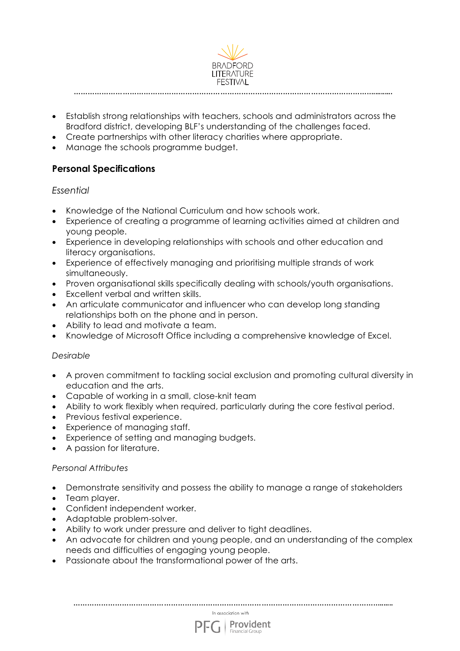

- Establish strong relationships with teachers, schools and administrators across the Bradford district, developing BLF's understanding of the challenges faced.
- Create partnerships with other literacy charities where appropriate.
- Manage the schools programme budget.

# **Personal Specifications**

## *Essential*

- Knowledge of the National Curriculum and how schools work.
- Experience of creating a programme of learning activities aimed at children and young people.
- Experience in developing relationships with schools and other education and literacy organisations.
- Experience of effectively managing and prioritising multiple strands of work simultaneously.
- Proven organisational skills specifically dealing with schools/youth organisations.
- Excellent verbal and written skills.
- An articulate communicator and influencer who can develop long standing relationships both on the phone and in person.
- Ability to lead and motivate a team.
- Knowledge of Microsoft Office including a comprehensive knowledge of Excel.

### *Desirable*

- A proven commitment to tackling social exclusion and promoting cultural diversity in education and the arts.
- Capable of working in a small, close-knit team
- Ability to work flexibly when required, particularly during the core festival period.
- Previous festival experience.
- Experience of managing staff.
- Experience of setting and managing budgets.
- A passion for literature.

### *Personal Attributes*

- Demonstrate sensitivity and possess the ability to manage a range of stakeholders
- Team player.
- Confident independent worker.
- Adaptable problem-solver.
- Ability to work under pressure and deliver to tight deadlines.
- An advocate for children and young people, and an understanding of the complex needs and difficulties of engaging young people.
- Passionate about the transformational power of the arts.

……………………………………………………………………………………………………………………....... In association with